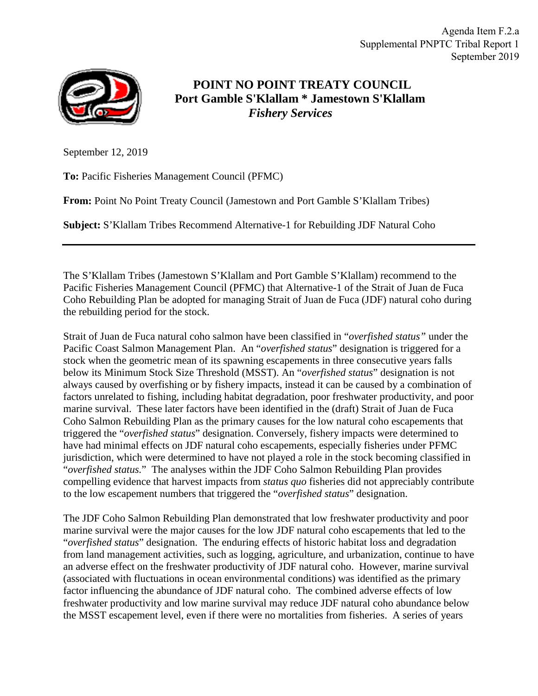Agenda Item F.2.a Supplemental PNPTC Tribal Report 1 September 2019



## **POINT NO POINT TREATY COUNCIL Port Gamble S'Klallam \* Jamestown S'Klallam** *Fishery Services*

September 12, 2019

**To:** Pacific Fisheries Management Council (PFMC)

**From:** Point No Point Treaty Council (Jamestown and Port Gamble S'Klallam Tribes)

**Subject:** S'Klallam Tribes Recommend Alternative-1 for Rebuilding JDF Natural Coho

The S'Klallam Tribes (Jamestown S'Klallam and Port Gamble S'Klallam) recommend to the Pacific Fisheries Management Council (PFMC) that Alternative-1 of the Strait of Juan de Fuca Coho Rebuilding Plan be adopted for managing Strait of Juan de Fuca (JDF) natural coho during the rebuilding period for the stock.

Strait of Juan de Fuca natural coho salmon have been classified in "*overfished status"* under the Pacific Coast Salmon Management Plan. An "*overfished status*" designation is triggered for a stock when the geometric mean of its spawning escapements in three consecutive years falls below its Minimum Stock Size Threshold (MSST). An "*overfished status*" designation is not always caused by overfishing or by fishery impacts, instead it can be caused by a combination of factors unrelated to fishing, including habitat degradation, poor freshwater productivity, and poor marine survival. These later factors have been identified in the (draft) Strait of Juan de Fuca Coho Salmon Rebuilding Plan as the primary causes for the low natural coho escapements that triggered the "*overfished status*" designation. Conversely, fishery impacts were determined to have had minimal effects on JDF natural coho escapements, especially fisheries under PFMC jurisdiction, which were determined to have not played a role in the stock becoming classified in "*overfished status.*" The analyses within the JDF Coho Salmon Rebuilding Plan provides compelling evidence that harvest impacts from *status quo* fisheries did not appreciably contribute to the low escapement numbers that triggered the "*overfished status*" designation.

The JDF Coho Salmon Rebuilding Plan demonstrated that low freshwater productivity and poor marine survival were the major causes for the low JDF natural coho escapements that led to the "*overfished status*" designation. The enduring effects of historic habitat loss and degradation from land management activities, such as logging, agriculture, and urbanization, continue to have an adverse effect on the freshwater productivity of JDF natural coho. However, marine survival (associated with fluctuations in ocean environmental conditions) was identified as the primary factor influencing the abundance of JDF natural coho. The combined adverse effects of low freshwater productivity and low marine survival may reduce JDF natural coho abundance below the MSST escapement level, even if there were no mortalities from fisheries. A series of years